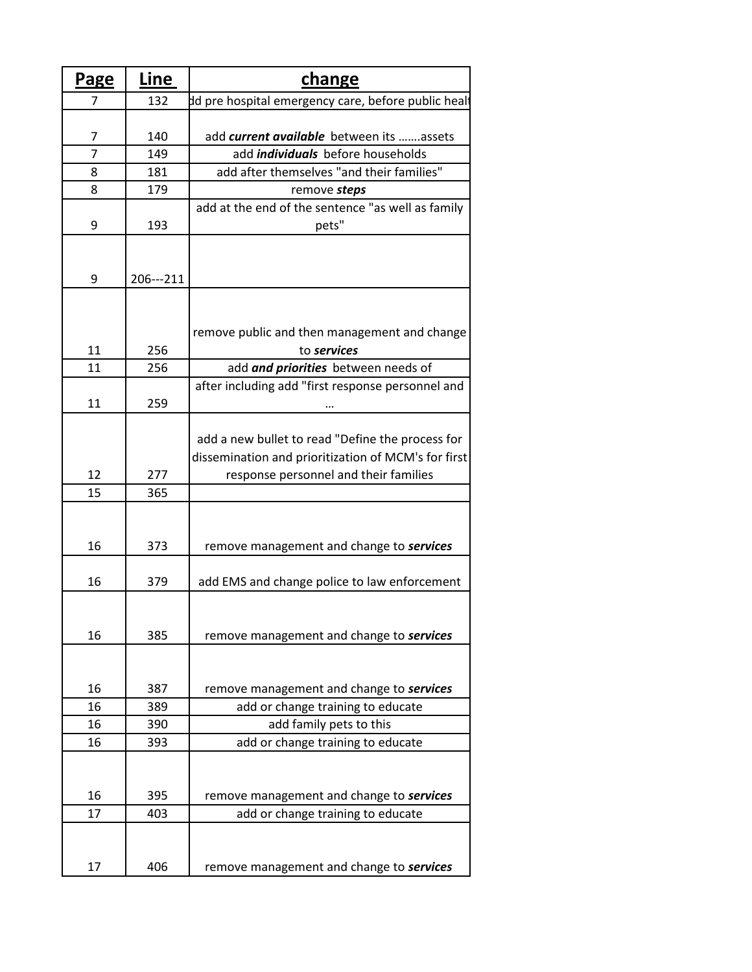| <u>Page</u>    | Line      | <b>change</b>                                       |
|----------------|-----------|-----------------------------------------------------|
| 7              | 132       | dd pre hospital emergency care, before public healt |
|                |           |                                                     |
| 7              | 140       | add current available between its  assets           |
| $\overline{7}$ | 149       | add <i>individuals</i> before households            |
| 8              | 181       | add after themselves "and their families"           |
| 8              | 179       | remove steps                                        |
|                |           | add at the end of the sentence "as well as family   |
| 9              | 193       | pets"                                               |
|                |           |                                                     |
|                |           |                                                     |
| 9              | 206---211 |                                                     |
|                |           |                                                     |
|                |           |                                                     |
|                |           | remove public and then management and change        |
| 11             | 256       | to services                                         |
| 11             | 256       | add and priorities between needs of                 |
|                |           | after including add "first response personnel and   |
| 11             | 259       |                                                     |
|                |           |                                                     |
|                |           | add a new bullet to read "Define the process for    |
|                |           | dissemination and prioritization of MCM's for first |
| 12             | 277       | response personnel and their families               |
| 15             | 365       |                                                     |
|                |           |                                                     |
|                |           |                                                     |
| 16             | 373       | remove management and change to <b>services</b>     |
|                |           |                                                     |
| 16             | 379       | add EMS and change police to law enforcement        |
|                |           |                                                     |
|                |           |                                                     |
| 16             | 385       | remove management and change to services            |
|                |           |                                                     |
|                |           |                                                     |
| 16             | 387       | remove management and change to <b>services</b>     |
| 16             | 389       | add or change training to educate                   |
| 16             | 390       | add family pets to this                             |
| 16             | 393       | add or change training to educate                   |
|                |           |                                                     |
|                |           |                                                     |
| 16             | 395       | remove management and change to services            |
| 17             | 403       | add or change training to educate                   |
|                |           |                                                     |
|                |           |                                                     |
| 17             | 406       | remove management and change to services            |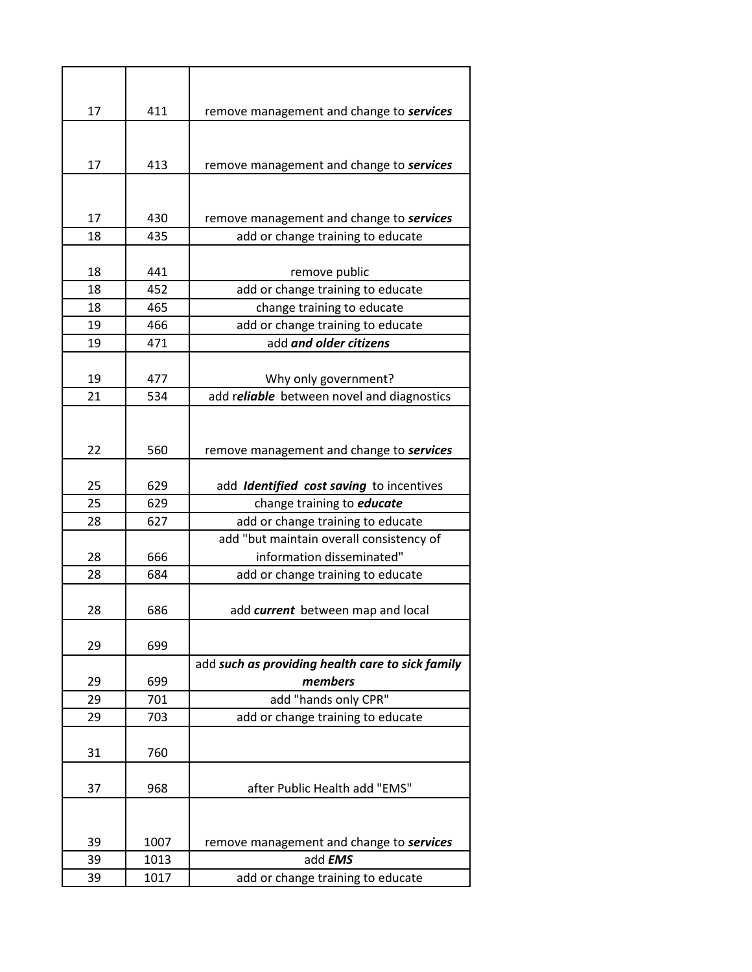| 17       | 411        | remove management and change to services                    |
|----------|------------|-------------------------------------------------------------|
|          |            |                                                             |
| 17       | 413        | remove management and change to services                    |
|          |            |                                                             |
|          |            |                                                             |
| 17       | 430        | remove management and change to services                    |
| 18       | 435        | add or change training to educate                           |
|          |            |                                                             |
| 18       | 441        | remove public                                               |
| 18       | 452        | add or change training to educate                           |
| 18<br>19 | 465<br>466 | change training to educate                                  |
| 19       | 471        | add or change training to educate<br>add and older citizens |
|          |            |                                                             |
| 19       | 477        | Why only government?                                        |
| 21       | 534        | add reliable between novel and diagnostics                  |
|          |            |                                                             |
|          |            |                                                             |
| 22       | 560        | remove management and change to services                    |
|          |            |                                                             |
| 25       | 629        | add Identified cost saving to incentives                    |
| 25       | 629        | change training to <i>educate</i>                           |
| 28       | 627        | add or change training to educate                           |
|          |            | add "but maintain overall consistency of                    |
| 28       | 666        | information disseminated"                                   |
| 28       | 684        | add or change training to educate                           |
|          |            |                                                             |
| 28       | 686        | add current between map and local                           |
|          |            |                                                             |
| 29       | 699        |                                                             |
|          |            | add such as providing health care to sick family            |
| 29       | 699        | members                                                     |
| 29       | 701        | add "hands only CPR"                                        |
| 29       | 703        | add or change training to educate                           |
|          |            |                                                             |
| 31       | 760        |                                                             |
| 37       | 968        | after Public Health add "EMS"                               |
|          |            |                                                             |
|          |            |                                                             |
| 39       | 1007       | remove management and change to services                    |
| 39       | 1013       | add <b>EMS</b>                                              |
| 39       | 1017       | add or change training to educate                           |
|          |            |                                                             |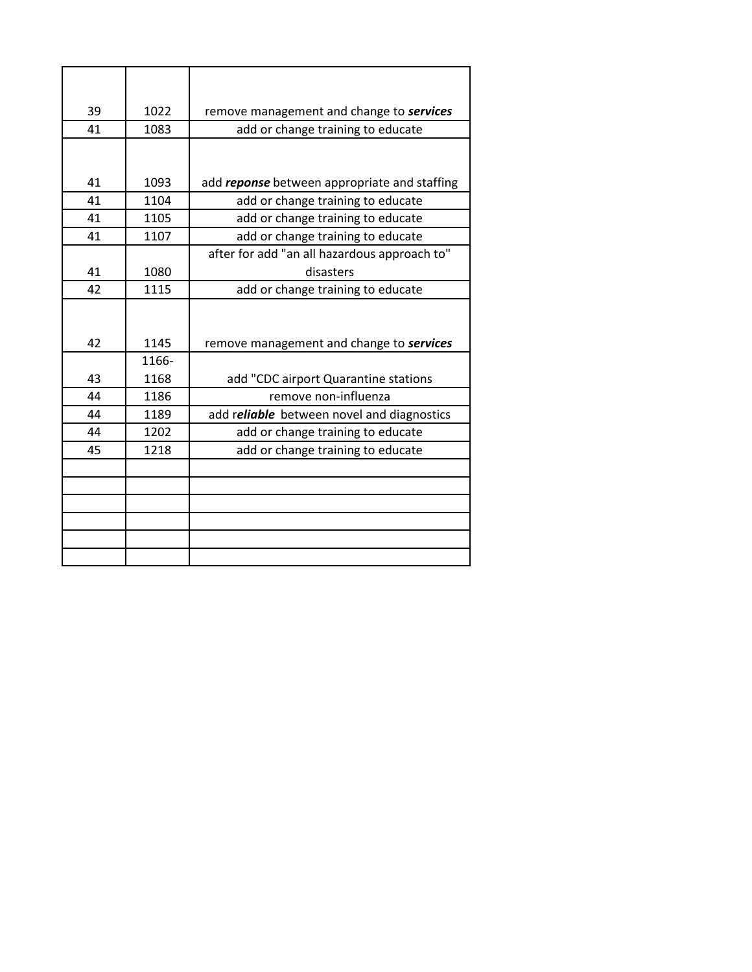| 39 | 1022  | remove management and change to services     |
|----|-------|----------------------------------------------|
| 41 | 1083  | add or change training to educate            |
|    |       |                                              |
|    |       |                                              |
| 41 | 1093  | add reponse between appropriate and staffing |
| 41 | 1104  | add or change training to educate            |
| 41 | 1105  | add or change training to educate            |
| 41 | 1107  | add or change training to educate            |
|    |       | after for add "an all hazardous approach to" |
| 41 | 1080  | disasters                                    |
| 42 | 1115  | add or change training to educate            |
|    |       |                                              |
|    |       |                                              |
| 42 | 1145  | remove management and change to services     |
|    | 1166- |                                              |
| 43 | 1168  | add "CDC airport Quarantine stations         |
| 44 | 1186  | remove non-influenza                         |
| 44 | 1189  | add reliable between novel and diagnostics   |
| 44 | 1202  | add or change training to educate            |
| 45 | 1218  | add or change training to educate            |
|    |       |                                              |
|    |       |                                              |
|    |       |                                              |
|    |       |                                              |
|    |       |                                              |
|    |       |                                              |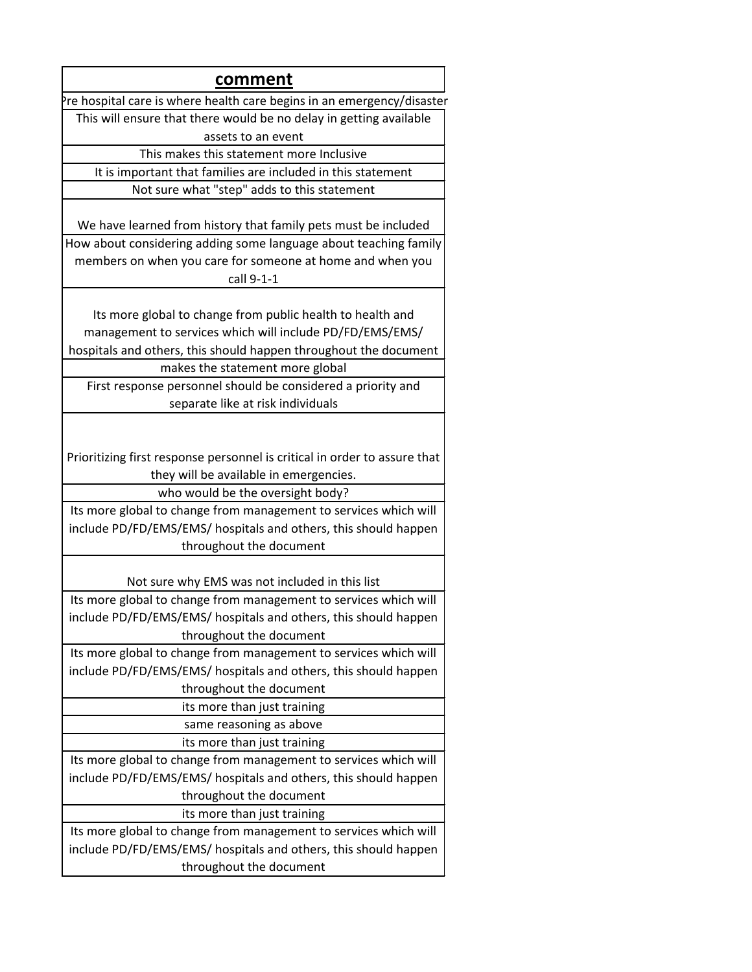| comment                                                                                                             |
|---------------------------------------------------------------------------------------------------------------------|
| Pre hospital care is where health care begins in an emergency/disaster                                              |
| This will ensure that there would be no delay in getting available                                                  |
| assets to an event                                                                                                  |
| This makes this statement more Inclusive                                                                            |
| It is important that families are included in this statement                                                        |
|                                                                                                                     |
| Not sure what "step" adds to this statement                                                                         |
| We have learned from history that family pets must be included                                                      |
| How about considering adding some language about teaching family                                                    |
| members on when you care for someone at home and when you                                                           |
| call 9-1-1                                                                                                          |
|                                                                                                                     |
| Its more global to change from public health to health and                                                          |
| management to services which will include PD/FD/EMS/EMS/                                                            |
| hospitals and others, this should happen throughout the document                                                    |
| makes the statement more global                                                                                     |
| First response personnel should be considered a priority and                                                        |
| separate like at risk individuals                                                                                   |
|                                                                                                                     |
| Prioritizing first response personnel is critical in order to assure that<br>they will be available in emergencies. |
| who would be the oversight body?                                                                                    |
| Its more global to change from management to services which will                                                    |
| include PD/FD/EMS/EMS/ hospitals and others, this should happen                                                     |
| throughout the document                                                                                             |
|                                                                                                                     |
| Not sure why EMS was not included in this list                                                                      |
| Its more global to change from management to services which will                                                    |
| include PD/FD/EMS/EMS/ hospitals and others, this should happen                                                     |
| throughout the document                                                                                             |
| Its more global to change from management to services which will                                                    |
| include PD/FD/EMS/EMS/ hospitals and others, this should happen                                                     |
| throughout the document                                                                                             |
| its more than just training                                                                                         |
| same reasoning as above                                                                                             |
| its more than just training                                                                                         |
| Its more global to change from management to services which will                                                    |
| include PD/FD/EMS/EMS/ hospitals and others, this should happen                                                     |
| throughout the document                                                                                             |
| its more than just training                                                                                         |
| Its more global to change from management to services which will                                                    |
| include PD/FD/EMS/EMS/ hospitals and others, this should happen                                                     |
| throughout the document                                                                                             |
|                                                                                                                     |